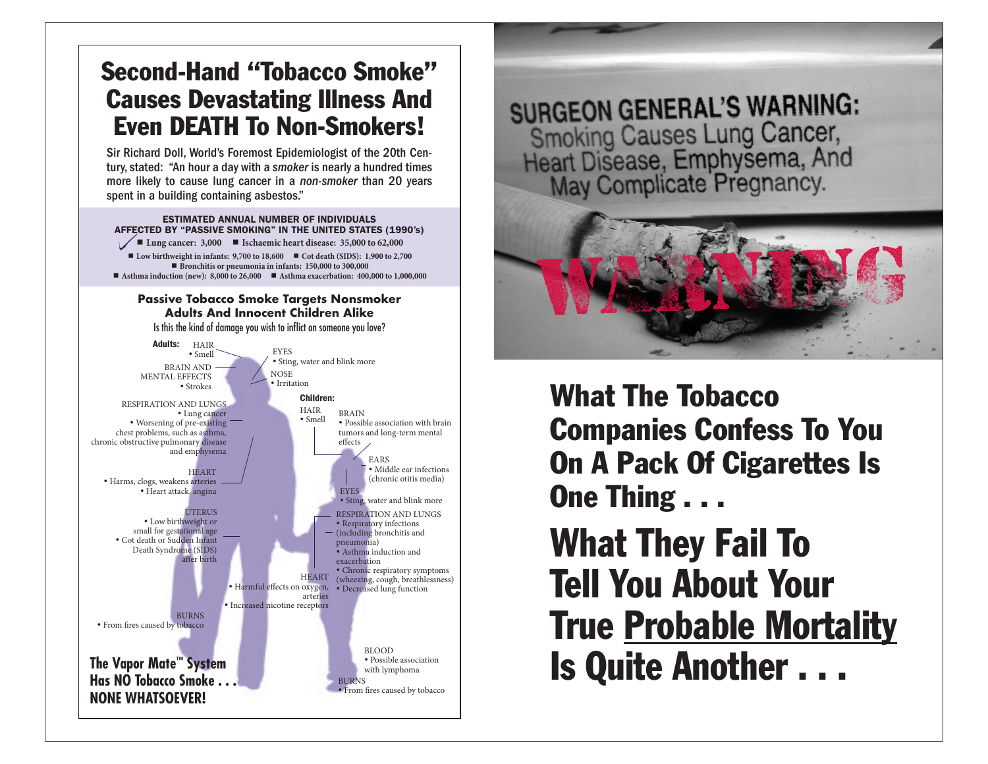# Second-Hand "Tobacco Smoke" Causes Devastating Illness And Even DEATH To Non-Smokers!

Sir Richard Doll, World's Foremost Epidemiologist of the 20th Century, stated: "An hour a day with a *smoker* is nearly a hundred times more likely to cause lung cancer in a *non-smoker* than 20 years spent in a building containing asbestos."

ESTIMATED ANNUAL NUMBER OF INDIVIDUALS AFFECTED BY "PASSIVE SMOKING" IN THE UNITED STATES (1990's)  **Lung cancer: 3,000 Ischaemic heart disease: 35,000 to 62,000**

■ Low birthweight in infants: 9,700 to 18,600 **■** Cot death (SIDS): 1,900 to 2,700  **Bronchitis or pneumonia in infants: 150,000 to 300,000** ■ Asthma induction (new): 8,000 to 26,000 ■ Asthma exacerbation: 400,000 to 1,000,000

#### **Passive Tobacco Smoke Targets Nonsmoker Adults And Innocent Children Alike**

Is this the kind of damage you wish to inflict on someone you love?



**SURGEON GENERAL'S WARNING:** Smoking Causes Lung Cancer,<br>Heart Disease, Emphysema, And<br>May Complicate Pregnancy.



What The Tobacco Companies Confess To You On A Pack Of Cigarettes Is One Thing . . .

What They Fail To Tell You About Your True Probable Mortality Is Quite Another . . .